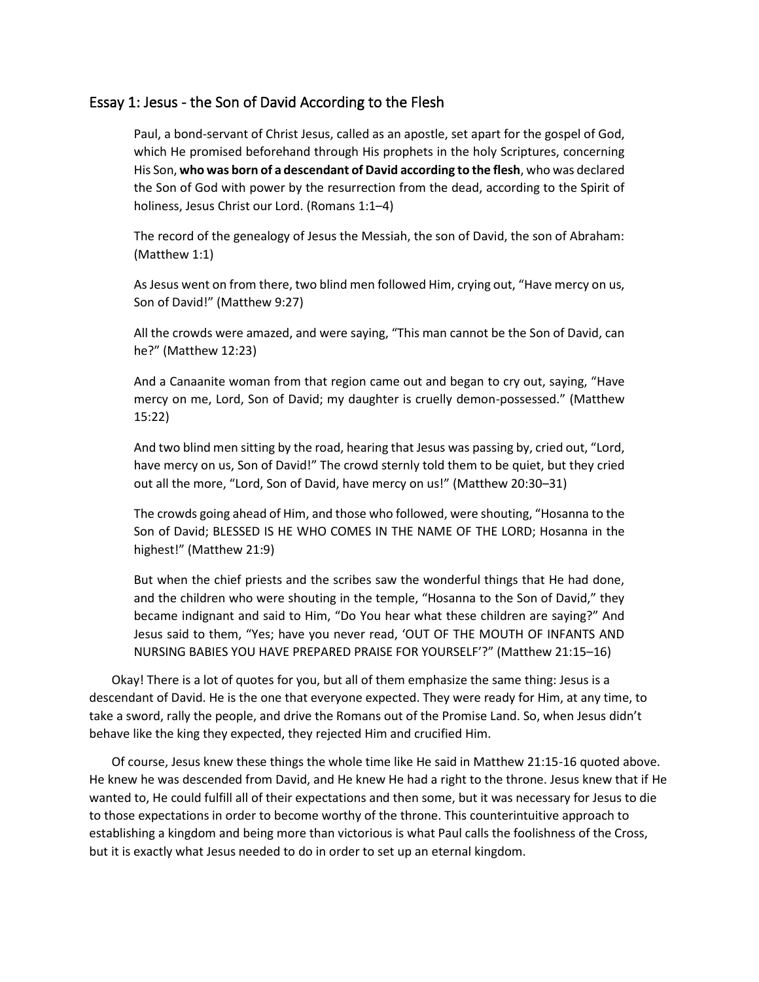## Essay 1: Jesus - the Son of David According to the Flesh

Paul, a bond-servant of Christ Jesus, called as an apostle, set apart for the gospel of God, which He promised beforehand through His prophets in the holy Scriptures, concerning His Son, **who was born of a descendant of David according to the flesh**, who was declared the Son of God with power by the resurrection from the dead, according to the Spirit of holiness, Jesus Christ our Lord. (Romans 1:1–4)

The record of the genealogy of Jesus the Messiah, the son of David, the son of Abraham: (Matthew 1:1)

As Jesus went on from there, two blind men followed Him, crying out, "Have mercy on us, Son of David!" (Matthew 9:27)

All the crowds were amazed, and were saying, "This man cannot be the Son of David, can he?" (Matthew 12:23)

And a Canaanite woman from that region came out and began to cry out, saying, "Have mercy on me, Lord, Son of David; my daughter is cruelly demon-possessed." (Matthew 15:22)

And two blind men sitting by the road, hearing that Jesus was passing by, cried out, "Lord, have mercy on us, Son of David!" The crowd sternly told them to be quiet, but they cried out all the more, "Lord, Son of David, have mercy on us!" (Matthew 20:30–31)

The crowds going ahead of Him, and those who followed, were shouting, "Hosanna to the Son of David; BLESSED IS HE WHO COMES IN THE NAME OF THE LORD; Hosanna in the highest!" (Matthew 21:9)

But when the chief priests and the scribes saw the wonderful things that He had done, and the children who were shouting in the temple, "Hosanna to the Son of David," they became indignant and said to Him, "Do You hear what these children are saying?" And Jesus said to them, "Yes; have you never read, 'OUT OF THE MOUTH OF INFANTS AND NURSING BABIES YOU HAVE PREPARED PRAISE FOR YOURSELF'?" (Matthew 21:15–16)

Okay! There is a lot of quotes for you, but all of them emphasize the same thing: Jesus is a descendant of David. He is the one that everyone expected. They were ready for Him, at any time, to take a sword, rally the people, and drive the Romans out of the Promise Land. So, when Jesus didn't behave like the king they expected, they rejected Him and crucified Him.

Of course, Jesus knew these things the whole time like He said in Matthew 21:15-16 quoted above. He knew he was descended from David, and He knew He had a right to the throne. Jesus knew that if He wanted to, He could fulfill all of their expectations and then some, but it was necessary for Jesus to die to those expectations in order to become worthy of the throne. This counterintuitive approach to establishing a kingdom and being more than victorious is what Paul calls the foolishness of the Cross, but it is exactly what Jesus needed to do in order to set up an eternal kingdom.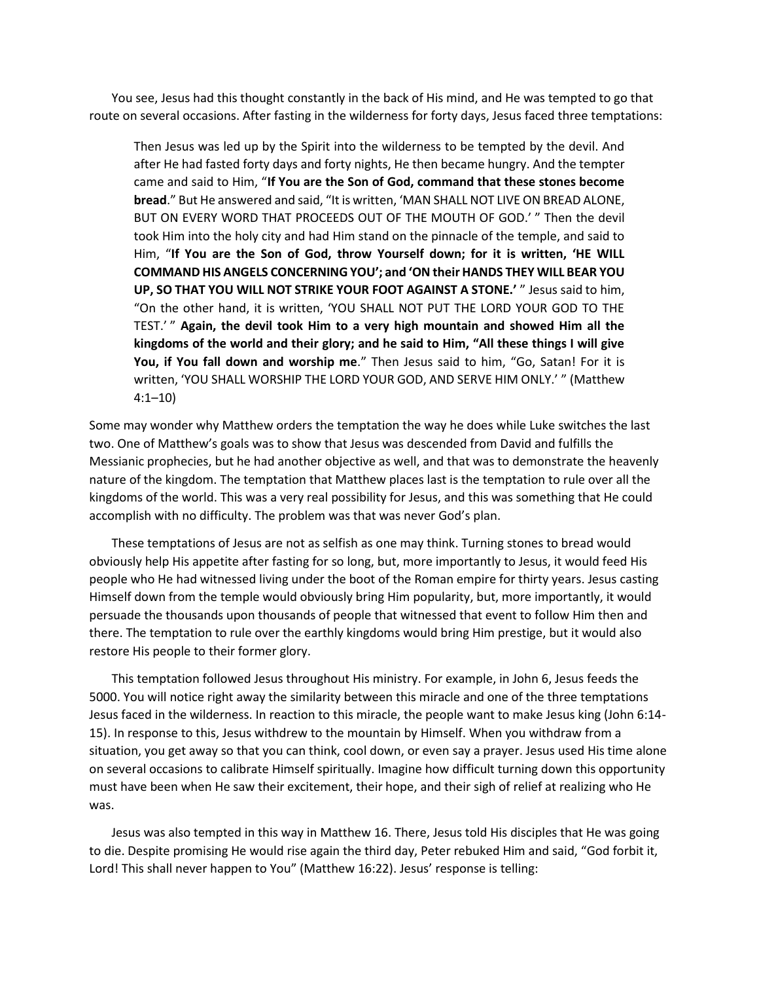You see, Jesus had this thought constantly in the back of His mind, and He was tempted to go that route on several occasions. After fasting in the wilderness for forty days, Jesus faced three temptations:

Then Jesus was led up by the Spirit into the wilderness to be tempted by the devil. And after He had fasted forty days and forty nights, He then became hungry. And the tempter came and said to Him, "**If You are the Son of God, command that these stones become bread**." But He answered and said, "It is written, 'MAN SHALL NOT LIVE ON BREAD ALONE, BUT ON EVERY WORD THAT PROCEEDS OUT OF THE MOUTH OF GOD.' " Then the devil took Him into the holy city and had Him stand on the pinnacle of the temple, and said to Him, "**If You are the Son of God, throw Yourself down; for it is written, 'HE WILL COMMAND HIS ANGELS CONCERNING YOU'; and 'ON their HANDS THEY WILL BEAR YOU UP, SO THAT YOU WILL NOT STRIKE YOUR FOOT AGAINST A STONE.'** " Jesus said to him, "On the other hand, it is written, 'YOU SHALL NOT PUT THE LORD YOUR GOD TO THE TEST.' " **Again, the devil took Him to a very high mountain and showed Him all the kingdoms of the world and their glory; and he said to Him, "All these things I will give You, if You fall down and worship me**." Then Jesus said to him, "Go, Satan! For it is written, 'YOU SHALL WORSHIP THE LORD YOUR GOD, AND SERVE HIM ONLY.' " (Matthew 4:1–10)

Some may wonder why Matthew orders the temptation the way he does while Luke switches the last two. One of Matthew's goals was to show that Jesus was descended from David and fulfills the Messianic prophecies, but he had another objective as well, and that was to demonstrate the heavenly nature of the kingdom. The temptation that Matthew places last is the temptation to rule over all the kingdoms of the world. This was a very real possibility for Jesus, and this was something that He could accomplish with no difficulty. The problem was that was never God's plan.

These temptations of Jesus are not as selfish as one may think. Turning stones to bread would obviously help His appetite after fasting for so long, but, more importantly to Jesus, it would feed His people who He had witnessed living under the boot of the Roman empire for thirty years. Jesus casting Himself down from the temple would obviously bring Him popularity, but, more importantly, it would persuade the thousands upon thousands of people that witnessed that event to follow Him then and there. The temptation to rule over the earthly kingdoms would bring Him prestige, but it would also restore His people to their former glory.

This temptation followed Jesus throughout His ministry. For example, in John 6, Jesus feeds the 5000. You will notice right away the similarity between this miracle and one of the three temptations Jesus faced in the wilderness. In reaction to this miracle, the people want to make Jesus king (John 6:14- 15). In response to this, Jesus withdrew to the mountain by Himself. When you withdraw from a situation, you get away so that you can think, cool down, or even say a prayer. Jesus used His time alone on several occasions to calibrate Himself spiritually. Imagine how difficult turning down this opportunity must have been when He saw their excitement, their hope, and their sigh of relief at realizing who He was.

Jesus was also tempted in this way in Matthew 16. There, Jesus told His disciples that He was going to die. Despite promising He would rise again the third day, Peter rebuked Him and said, "God forbit it, Lord! This shall never happen to You" (Matthew 16:22). Jesus' response is telling: